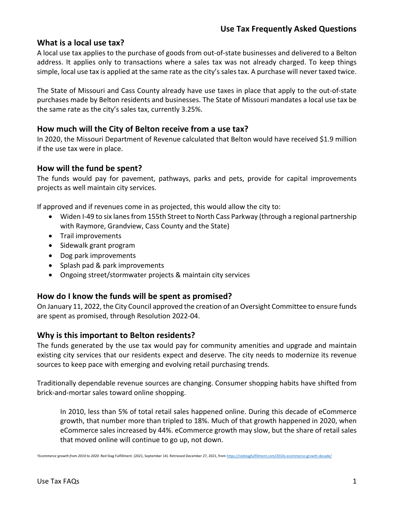#### **What is a local use tax?**

A local use tax applies to the purchase of goods from out-of-state businesses and delivered to a Belton address. It applies only to transactions where a sales tax was not already charged. To keep things simple, local use tax is applied at the same rate as the city's sales tax. A purchase will never taxed twice.

The State of Missouri and Cass County already have use taxes in place that apply to the out-of-state purchases made by Belton residents and businesses. The State of Missouri mandates a local use tax be the same rate as the city's sales tax, currently 3.25%.

#### **How much will the City of Belton receive from a use tax?**

In 2020, the Missouri Department of Revenue calculated that Belton would have received \$1.9 million if the use tax were in place.

#### **How will the fund be spent?**

The funds would pay for pavement, pathways, parks and pets, provide for capital improvements projects as well maintain city services.

If approved and if revenues come in as projected, this would allow the city to:

- Widen I-49 to six lanes from 155th Street to North Cass Parkway (through a regional partnership with Raymore, Grandview, Cass County and the State)
- Trail improvements
- Sidewalk grant program
- Dog park improvements
- Splash pad & park improvements
- Ongoing street/stormwater projects & maintain city services

#### **How do I know the funds will be spent as promised?**

On January 11, 2022, the City Council approved the creation of an Oversight Committee to ensure funds are spent as promised, through Resolution 2022-04.

#### **Why is this important to Belton residents?**

The funds generated by the use tax would pay for community amenities and upgrade and maintain existing city services that our residents expect and deserve. The city needs to modernize its revenue sources to keep pace with emerging and evolving retail purchasing trends.

Traditionally dependable revenue sources are changing. Consumer shopping habits have shifted from brick-and-mortar sales toward online shopping.

In 2010, less than 5% of total retail sales happened online. During this decade of eCommerce growth, that number more than tripled to 18%. Much of that growth happened in 2020, when eCommerce sales increased by 44%. eCommerce growth may slow, but the share of retail sales that moved online will continue to go up, not down.

<sup>1</sup>*Ecommerce growth from 2010 to 2020.* Red Stag Fulfillment. (2021, September 14). Retrieved December 27, 2021, from https://redstagfulfillment.com/2010s-ecommerce-growth-decade/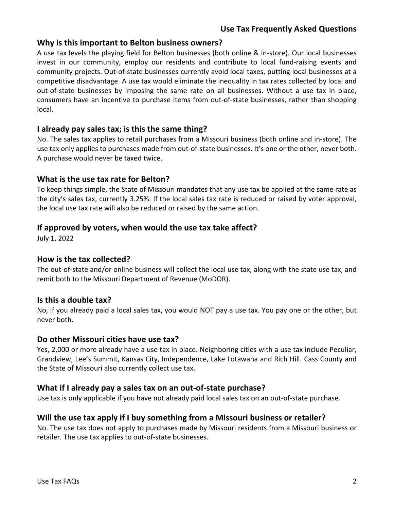## **Why is this important to Belton business owners?**

A use tax levels the playing field for Belton businesses (both online & in-store). Our local businesses invest in our community, employ our residents and contribute to local fund-raising events and community projects. Out-of-state businesses currently avoid local taxes, putting local businesses at a competitive disadvantage. A use tax would eliminate the inequality in tax rates collected by local and out-of-state businesses by imposing the same rate on all businesses. Without a use tax in place, consumers have an incentive to purchase items from out-of-state businesses, rather than shopping local.

## **I already pay sales tax; is this the same thing?**

No. The sales tax applies to retail purchases from a Missouri business (both online and in-store). The use tax only applies to purchases made from out-of-state businesses. It's one or the other, never both. A purchase would never be taxed twice.

## **What is the use tax rate for Belton?**

To keep things simple, the State of Missouri mandates that any use tax be applied at the same rate as the city's sales tax, currently 3.25%. If the local sales tax rate is reduced or raised by voter approval, the local use tax rate will also be reduced or raised by the same action.

## **If approved by voters, when would the use tax take affect?**

July 1, 2022

#### **How is the tax collected?**

The out-of-state and/or online business will collect the local use tax, along with the state use tax, and remit both to the Missouri Department of Revenue (MoDOR).

## **Is this a double tax?**

No, if you already paid a local sales tax, you would NOT pay a use tax. You pay one or the other, but never both.

#### **Do other Missouri cities have use tax?**

Yes, 2,000 or more already have a use tax in place. Neighboring cities with a use tax include Peculiar, Grandview, Lee's Summit, Kansas City, Independence, Lake Lotawana and Rich Hill. Cass County and the State of Missouri also currently collect use tax.

## **What if I already pay a sales tax on an out-of-state purchase?**

Use tax is only applicable if you have not already paid local sales tax on an out-of-state purchase.

## **Will the use tax apply if I buy something from a Missouri business or retailer?**

No. The use tax does not apply to purchases made by Missouri residents from a Missouri business or retailer. The use tax applies to out-of-state businesses.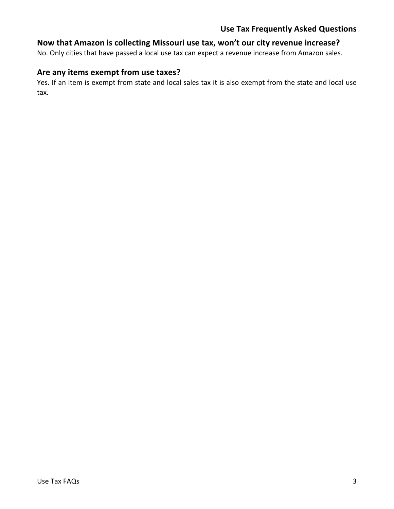## **Use Tax Frequently Asked Questions**

## **Now that Amazon is collecting Missouri use tax, won't our city revenue increase?**

No. Only cities that have passed a local use tax can expect a revenue increase from Amazon sales.

## **Are any items exempt from use taxes?**

Yes. If an item is exempt from state and local sales tax it is also exempt from the state and local use tax.